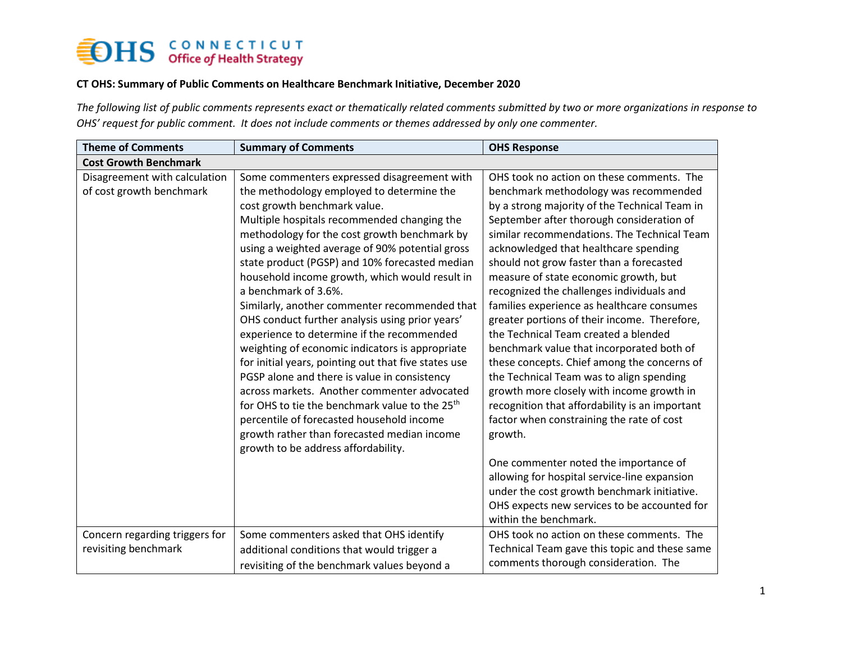### **OHS** CONNECTICUT

#### **CT OHS: Summary of Public Comments on Healthcare Benchmark Initiative, December 2020**

*The following list of public comments represents exact or thematically related comments submitted by two or more organizations in response to OHS' request for public comment. It does not include comments or themes addressed by only one commenter.*

| <b>Theme of Comments</b>                                  | <b>Summary of Comments</b>                                                                                                                                                                                                                                                                                                                                                                                                                                                                                                                                                                                                                                                                                                                                                                                                                                                                                                                                          | <b>OHS Response</b>                                                                                                                                                                                                                                                                                                                                                                                                                                                                                                                                                                                                                                                                                                                                                                                                                                                                                                                                                                                                                                              |
|-----------------------------------------------------------|---------------------------------------------------------------------------------------------------------------------------------------------------------------------------------------------------------------------------------------------------------------------------------------------------------------------------------------------------------------------------------------------------------------------------------------------------------------------------------------------------------------------------------------------------------------------------------------------------------------------------------------------------------------------------------------------------------------------------------------------------------------------------------------------------------------------------------------------------------------------------------------------------------------------------------------------------------------------|------------------------------------------------------------------------------------------------------------------------------------------------------------------------------------------------------------------------------------------------------------------------------------------------------------------------------------------------------------------------------------------------------------------------------------------------------------------------------------------------------------------------------------------------------------------------------------------------------------------------------------------------------------------------------------------------------------------------------------------------------------------------------------------------------------------------------------------------------------------------------------------------------------------------------------------------------------------------------------------------------------------------------------------------------------------|
| <b>Cost Growth Benchmark</b>                              |                                                                                                                                                                                                                                                                                                                                                                                                                                                                                                                                                                                                                                                                                                                                                                                                                                                                                                                                                                     |                                                                                                                                                                                                                                                                                                                                                                                                                                                                                                                                                                                                                                                                                                                                                                                                                                                                                                                                                                                                                                                                  |
| Disagreement with calculation<br>of cost growth benchmark | Some commenters expressed disagreement with<br>the methodology employed to determine the<br>cost growth benchmark value.<br>Multiple hospitals recommended changing the<br>methodology for the cost growth benchmark by<br>using a weighted average of 90% potential gross<br>state product (PGSP) and 10% forecasted median<br>household income growth, which would result in<br>a benchmark of 3.6%.<br>Similarly, another commenter recommended that<br>OHS conduct further analysis using prior years'<br>experience to determine if the recommended<br>weighting of economic indicators is appropriate<br>for initial years, pointing out that five states use<br>PGSP alone and there is value in consistency<br>across markets. Another commenter advocated<br>for OHS to tie the benchmark value to the 25 <sup>th</sup><br>percentile of forecasted household income<br>growth rather than forecasted median income<br>growth to be address affordability. | OHS took no action on these comments. The<br>benchmark methodology was recommended<br>by a strong majority of the Technical Team in<br>September after thorough consideration of<br>similar recommendations. The Technical Team<br>acknowledged that healthcare spending<br>should not grow faster than a forecasted<br>measure of state economic growth, but<br>recognized the challenges individuals and<br>families experience as healthcare consumes<br>greater portions of their income. Therefore,<br>the Technical Team created a blended<br>benchmark value that incorporated both of<br>these concepts. Chief among the concerns of<br>the Technical Team was to align spending<br>growth more closely with income growth in<br>recognition that affordability is an important<br>factor when constraining the rate of cost<br>growth.<br>One commenter noted the importance of<br>allowing for hospital service-line expansion<br>under the cost growth benchmark initiative.<br>OHS expects new services to be accounted for<br>within the benchmark. |
| Concern regarding triggers for<br>revisiting benchmark    | Some commenters asked that OHS identify<br>additional conditions that would trigger a<br>revisiting of the benchmark values beyond a                                                                                                                                                                                                                                                                                                                                                                                                                                                                                                                                                                                                                                                                                                                                                                                                                                | OHS took no action on these comments. The<br>Technical Team gave this topic and these same<br>comments thorough consideration. The                                                                                                                                                                                                                                                                                                                                                                                                                                                                                                                                                                                                                                                                                                                                                                                                                                                                                                                               |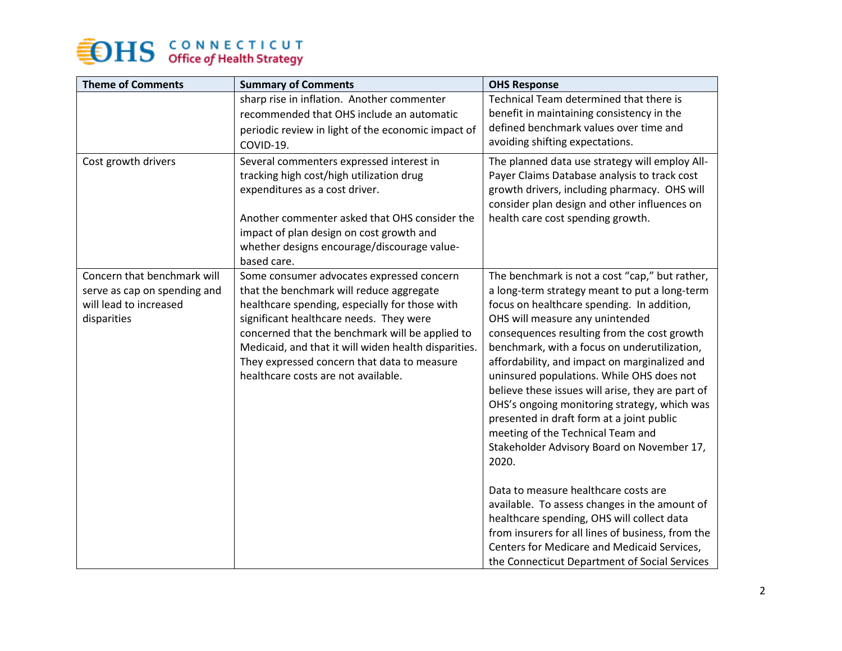## **OHS** CONNECTICUT

| <b>Theme of Comments</b>                                                                             | <b>Summary of Comments</b>                                                                                                                                                                                                                                                                                                                                                          | <b>OHS Response</b>                                                                                                                                                                                                                                                                                                                                                                                                                                                                                                                                                                                                         |
|------------------------------------------------------------------------------------------------------|-------------------------------------------------------------------------------------------------------------------------------------------------------------------------------------------------------------------------------------------------------------------------------------------------------------------------------------------------------------------------------------|-----------------------------------------------------------------------------------------------------------------------------------------------------------------------------------------------------------------------------------------------------------------------------------------------------------------------------------------------------------------------------------------------------------------------------------------------------------------------------------------------------------------------------------------------------------------------------------------------------------------------------|
|                                                                                                      | sharp rise in inflation. Another commenter<br>recommended that OHS include an automatic<br>periodic review in light of the economic impact of<br>COVID-19.                                                                                                                                                                                                                          | Technical Team determined that there is<br>benefit in maintaining consistency in the<br>defined benchmark values over time and<br>avoiding shifting expectations.                                                                                                                                                                                                                                                                                                                                                                                                                                                           |
| Cost growth drivers                                                                                  | Several commenters expressed interest in<br>tracking high cost/high utilization drug<br>expenditures as a cost driver.<br>Another commenter asked that OHS consider the<br>impact of plan design on cost growth and<br>whether designs encourage/discourage value-<br>based care.                                                                                                   | The planned data use strategy will employ All-<br>Payer Claims Database analysis to track cost<br>growth drivers, including pharmacy. OHS will<br>consider plan design and other influences on<br>health care cost spending growth.                                                                                                                                                                                                                                                                                                                                                                                         |
| Concern that benchmark will<br>serve as cap on spending and<br>will lead to increased<br>disparities | Some consumer advocates expressed concern<br>that the benchmark will reduce aggregate<br>healthcare spending, especially for those with<br>significant healthcare needs. They were<br>concerned that the benchmark will be applied to<br>Medicaid, and that it will widen health disparities.<br>They expressed concern that data to measure<br>healthcare costs are not available. | The benchmark is not a cost "cap," but rather,<br>a long-term strategy meant to put a long-term<br>focus on healthcare spending. In addition,<br>OHS will measure any unintended<br>consequences resulting from the cost growth<br>benchmark, with a focus on underutilization,<br>affordability, and impact on marginalized and<br>uninsured populations. While OHS does not<br>believe these issues will arise, they are part of<br>OHS's ongoing monitoring strategy, which was<br>presented in draft form at a joint public<br>meeting of the Technical Team and<br>Stakeholder Advisory Board on November 17,<br>2020. |
|                                                                                                      |                                                                                                                                                                                                                                                                                                                                                                                     | Data to measure healthcare costs are<br>available. To assess changes in the amount of<br>healthcare spending, OHS will collect data<br>from insurers for all lines of business, from the<br>Centers for Medicare and Medicaid Services,<br>the Connecticut Department of Social Services                                                                                                                                                                                                                                                                                                                                    |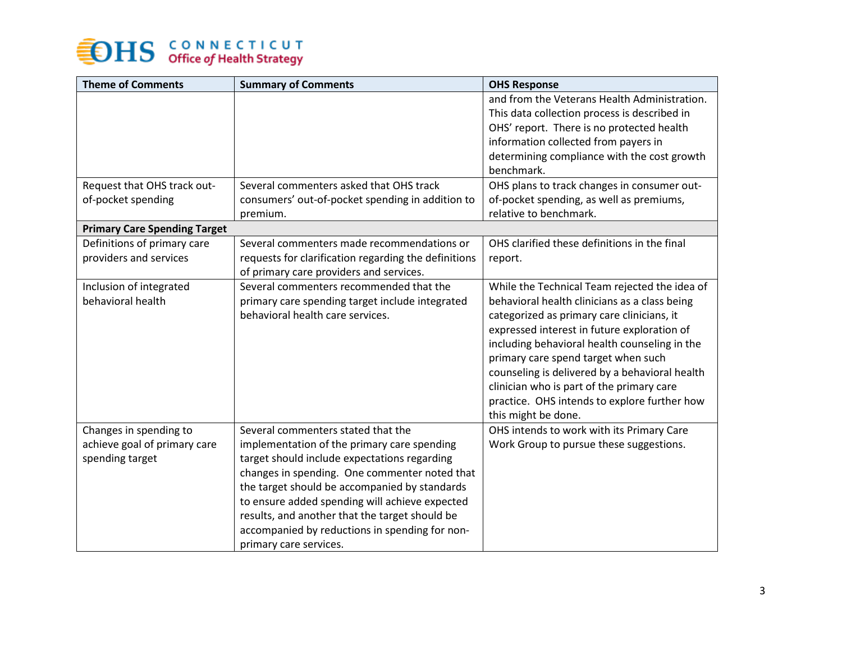# **OHS** CONNECTICUT

| <b>Theme of Comments</b>            | <b>Summary of Comments</b>                           | <b>OHS Response</b>                                       |
|-------------------------------------|------------------------------------------------------|-----------------------------------------------------------|
|                                     |                                                      | and from the Veterans Health Administration.              |
|                                     |                                                      | This data collection process is described in              |
|                                     |                                                      | OHS' report. There is no protected health                 |
|                                     |                                                      | information collected from payers in                      |
|                                     |                                                      | determining compliance with the cost growth<br>benchmark. |
| Request that OHS track out-         | Several commenters asked that OHS track              | OHS plans to track changes in consumer out-               |
| of-pocket spending                  | consumers' out-of-pocket spending in addition to     | of-pocket spending, as well as premiums,                  |
|                                     | premium.                                             | relative to benchmark.                                    |
| <b>Primary Care Spending Target</b> |                                                      |                                                           |
| Definitions of primary care         | Several commenters made recommendations or           | OHS clarified these definitions in the final              |
| providers and services              | requests for clarification regarding the definitions | report.                                                   |
|                                     | of primary care providers and services.              |                                                           |
| Inclusion of integrated             | Several commenters recommended that the              | While the Technical Team rejected the idea of             |
| behavioral health                   | primary care spending target include integrated      | behavioral health clinicians as a class being             |
|                                     | behavioral health care services.                     | categorized as primary care clinicians, it                |
|                                     |                                                      | expressed interest in future exploration of               |
|                                     |                                                      | including behavioral health counseling in the             |
|                                     |                                                      | primary care spend target when such                       |
|                                     |                                                      | counseling is delivered by a behavioral health            |
|                                     |                                                      | clinician who is part of the primary care                 |
|                                     |                                                      | practice. OHS intends to explore further how              |
|                                     |                                                      | this might be done.                                       |
| Changes in spending to              | Several commenters stated that the                   | OHS intends to work with its Primary Care                 |
| achieve goal of primary care        | implementation of the primary care spending          | Work Group to pursue these suggestions.                   |
| spending target                     | target should include expectations regarding         |                                                           |
|                                     | changes in spending. One commenter noted that        |                                                           |
|                                     | the target should be accompanied by standards        |                                                           |
|                                     | to ensure added spending will achieve expected       |                                                           |
|                                     | results, and another that the target should be       |                                                           |
|                                     | accompanied by reductions in spending for non-       |                                                           |
|                                     | primary care services.                               |                                                           |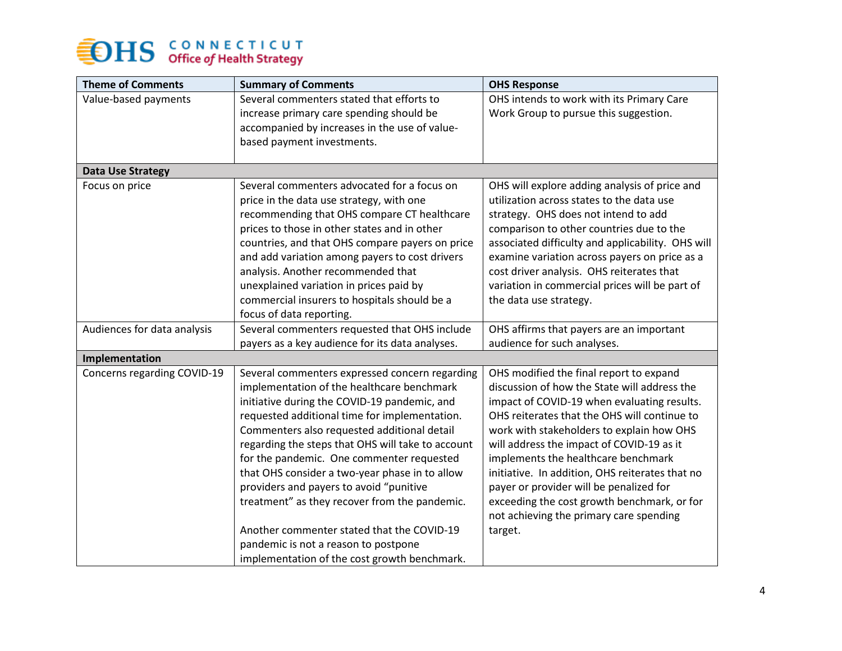# **SEDHS** CONNECTICUT

| <b>Theme of Comments</b>    | <b>Summary of Comments</b>                        | <b>OHS Response</b>                               |
|-----------------------------|---------------------------------------------------|---------------------------------------------------|
| Value-based payments        | Several commenters stated that efforts to         | OHS intends to work with its Primary Care         |
|                             | increase primary care spending should be          | Work Group to pursue this suggestion.             |
|                             | accompanied by increases in the use of value-     |                                                   |
|                             | based payment investments.                        |                                                   |
|                             |                                                   |                                                   |
| <b>Data Use Strategy</b>    |                                                   |                                                   |
| Focus on price              | Several commenters advocated for a focus on       | OHS will explore adding analysis of price and     |
|                             | price in the data use strategy, with one          | utilization across states to the data use         |
|                             | recommending that OHS compare CT healthcare       | strategy. OHS does not intend to add              |
|                             | prices to those in other states and in other      | comparison to other countries due to the          |
|                             | countries, and that OHS compare payers on price   | associated difficulty and applicability. OHS will |
|                             | and add variation among payers to cost drivers    | examine variation across payers on price as a     |
|                             | analysis. Another recommended that                | cost driver analysis. OHS reiterates that         |
|                             | unexplained variation in prices paid by           | variation in commercial prices will be part of    |
|                             | commercial insurers to hospitals should be a      | the data use strategy.                            |
|                             | focus of data reporting.                          |                                                   |
| Audiences for data analysis | Several commenters requested that OHS include     | OHS affirms that payers are an important          |
|                             | payers as a key audience for its data analyses.   | audience for such analyses.                       |
| Implementation              |                                                   |                                                   |
| Concerns regarding COVID-19 | Several commenters expressed concern regarding    | OHS modified the final report to expand           |
|                             | implementation of the healthcare benchmark        | discussion of how the State will address the      |
|                             | initiative during the COVID-19 pandemic, and      | impact of COVID-19 when evaluating results.       |
|                             | requested additional time for implementation.     | OHS reiterates that the OHS will continue to      |
|                             | Commenters also requested additional detail       | work with stakeholders to explain how OHS         |
|                             | regarding the steps that OHS will take to account | will address the impact of COVID-19 as it         |
|                             | for the pandemic. One commenter requested         | implements the healthcare benchmark               |
|                             | that OHS consider a two-year phase in to allow    | initiative. In addition, OHS reiterates that no   |
|                             | providers and payers to avoid "punitive           | payer or provider will be penalized for           |
|                             | treatment" as they recover from the pandemic.     | exceeding the cost growth benchmark, or for       |
|                             |                                                   | not achieving the primary care spending           |
|                             | Another commenter stated that the COVID-19        | target.                                           |
|                             | pandemic is not a reason to postpone              |                                                   |
|                             | implementation of the cost growth benchmark.      |                                                   |